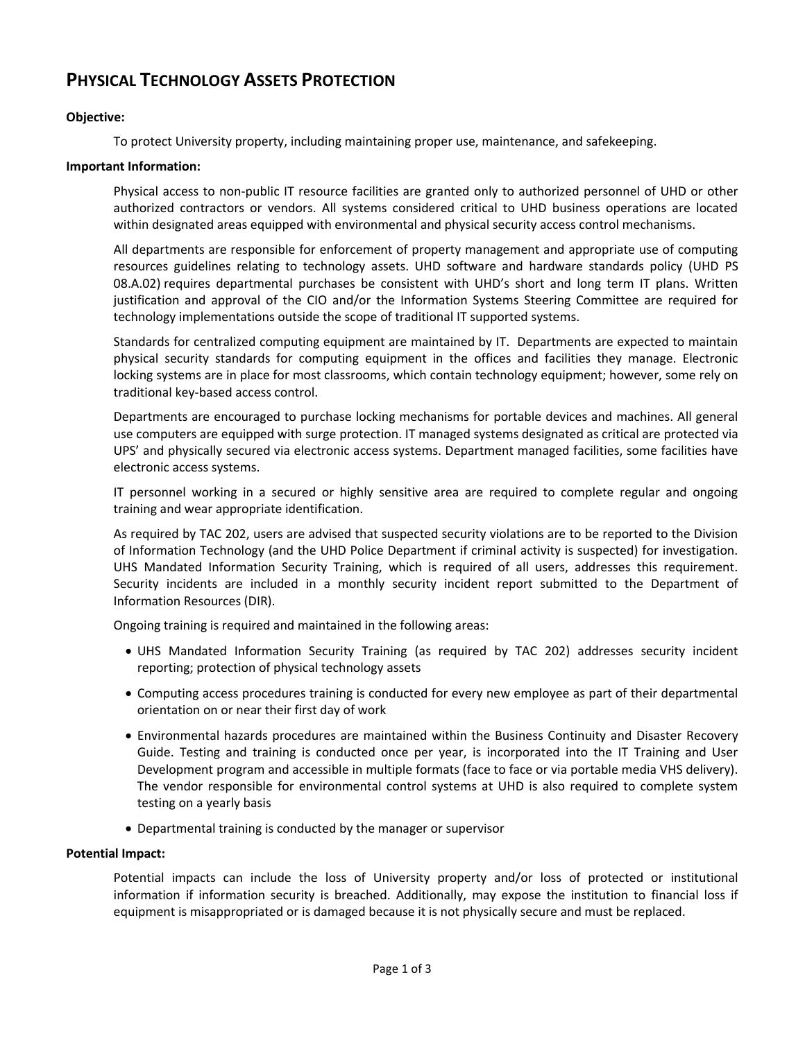# **PHYSICAL TECHNOLOGY ASSETS PROTECTION**

# **Objective:**

To protect University property, including maintaining proper use, maintenance, and safekeeping.

# **Important Information:**

Physical access to non-public IT resource facilities are granted only to authorized personnel of UHD or other authorized contractors or vendors. All systems considered critical to UHD business operations are located within designated areas equipped with environmental and physical security access control mechanisms.

All departments are responsible for enforcement of property management and appropriate use of computing resources guidelines relating to technology assets. UHD software and hardware standards policy (UHD PS 08.A.02) requires departmental purchases be consistent with UHD's short and long term IT plans. Written justification and approval of the CIO and/or the Information Systems Steering Committee are required for technology implementations outside the scope of traditional IT supported systems.

Standards for centralized computing equipment are maintained by IT. Departments are expected to maintain physical security standards for computing equipment in the offices and facilities they manage. Electronic locking systems are in place for most classrooms, which contain technology equipment; however, some rely on traditional key-based access control.

Departments are encouraged to purchase locking mechanisms for portable devices and machines. All general use computers are equipped with surge protection. IT managed systems designated as critical are protected via UPS' and physically secured via electronic access systems. Department managed facilities, some facilities have electronic access systems.

IT personnel working in a secured or highly sensitive area are required to complete regular and ongoing training and wear appropriate identification.

As required by TAC 202, users are advised that suspected security violations are to be reported to the Division of Information Technology (and the UHD Police Department if criminal activity is suspected) for investigation. UHS Mandated Information Security Training, which is required of all users, addresses this requirement. Security incidents are included in a monthly security incident report submitted to the Department of Information Resources (DIR).

Ongoing training is required and maintained in the following areas:

- UHS Mandated Information Security Training (as required by TAC 202) addresses security incident reporting; protection of physical technology assets
- Computing access procedures training is conducted for every new employee as part of their departmental orientation on or near their first day of work
- Environmental hazards procedures are maintained within the Business Continuity and Disaster Recovery Guide. Testing and training is conducted once per year, is incorporated into the IT Training and User Development program and accessible in multiple formats (face to face or via portable media VHS delivery). The vendor responsible for environmental control systems at UHD is also required to complete system testing on a yearly basis
- Departmental training is conducted by the manager or supervisor

#### **Potential Impact:**

Potential impacts can include the loss of University property and/or loss of protected or institutional information if information security is breached. Additionally, may expose the institution to financial loss if equipment is misappropriated or is damaged because it is not physically secure and must be replaced.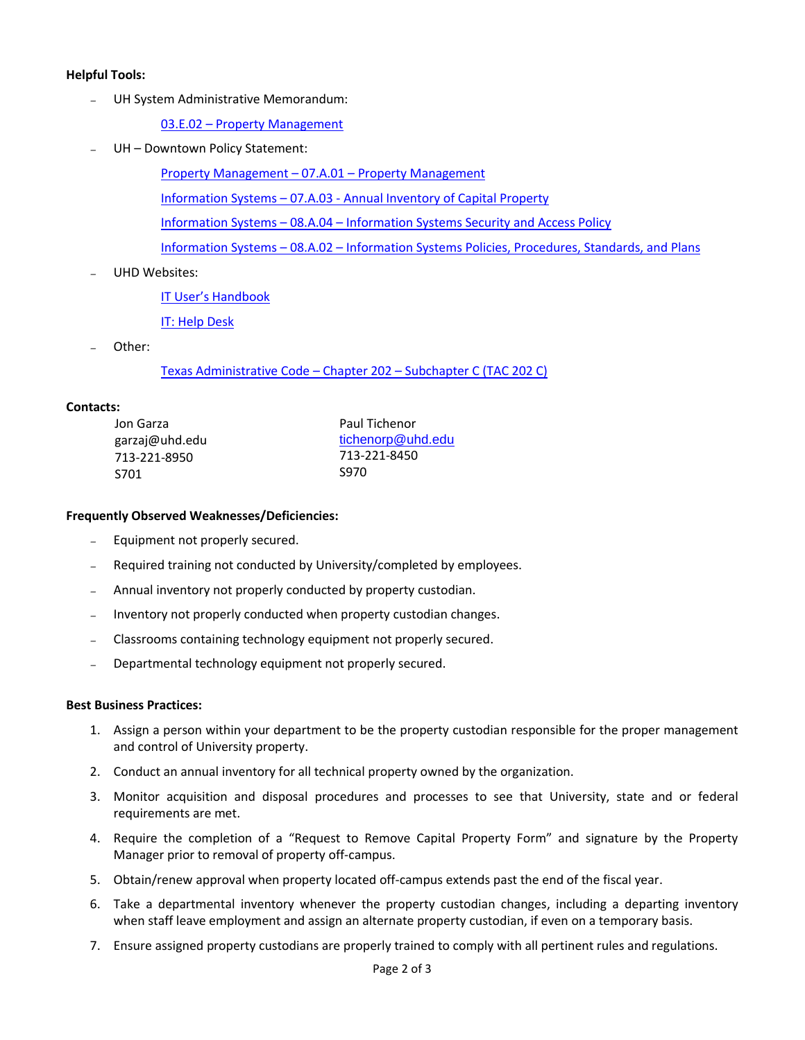#### **Helpful Tools:**

*–* UH System Administrative Memorandum:

03.E.02 – [Property Management](http://www.uhsa.uh.edu/sam/3FicsalAffairs/3E2.pdf)

*–* UH – Downtown Policy Statement:

[Property Management](http://www.uhd.edu/about/hr/PS07A01.pdf) – 07.A.01 – Property Management

Information Systems – 07.A.03 - [Annual Inventory of Capital Property](http://www.uhd.edu/about/hr/PS07A03.pdf)

Information Systems – 08.A.04 – [Information Systems Security and Access Policy](http://www.uhd.edu/about/hr/PS08A04.pdf) 

Information Systems – 08.A.02 – [Information Systems Policies, Procedures, Standards, and Plans](http://www.uhd.edu/about/hr/PS08A02.pdf)

*–* UHD Websites:

[IT User's Handbook](http://www.uhd.edu/computing/policies/it_users_handbook.html)

[IT: Help Desk](http://www.uhd.edu/computing/helpdesk/)

*–* Other:

[Texas Administrative Code](http://info.sos.state.tx.us/pls/pub/readtac$ext.ViewTAC?tac_view=5&ti=1&pt=10&ch=202&sch=C&rl=Y) – Chapter 202 – Subchapter C (TAC 202 C)

### **Contacts:**

| Jon Garza      | Paul Tichenor<br>tichenorp@uhd.edu |  |  |
|----------------|------------------------------------|--|--|
| garzaj@uhd.edu |                                    |  |  |
| 713-221-8950   | 713-221-8450                       |  |  |
| S701           | <b>S970</b>                        |  |  |

## **Frequently Observed Weaknesses/Deficiencies:**

- *–* Equipment not properly secured.
- *–* Required training not conducted by University/completed by employees.
- *–* Annual inventory not properly conducted by property custodian.
- *–* Inventory not properly conducted when property custodian changes.
- *–* Classrooms containing technology equipment not properly secured.
- *–* Departmental technology equipment not properly secured.

#### **Best Business Practices:**

- 1. Assign a person within your department to be the property custodian responsible for the proper management and control of University property.
- 2. Conduct an annual inventory for all technical property owned by the organization.
- 3. Monitor acquisition and disposal procedures and processes to see that University, state and or federal requirements are met.
- 4. Require the completion of a "Request to Remove Capital Property Form" and signature by the Property Manager prior to removal of property off-campus.
- 5. Obtain/renew approval when property located off-campus extends past the end of the fiscal year.
- 6. Take a departmental inventory whenever the property custodian changes, including a departing inventory when staff leave employment and assign an alternate property custodian, if even on a temporary basis.
- 7. Ensure assigned property custodians are properly trained to comply with all pertinent rules and regulations.